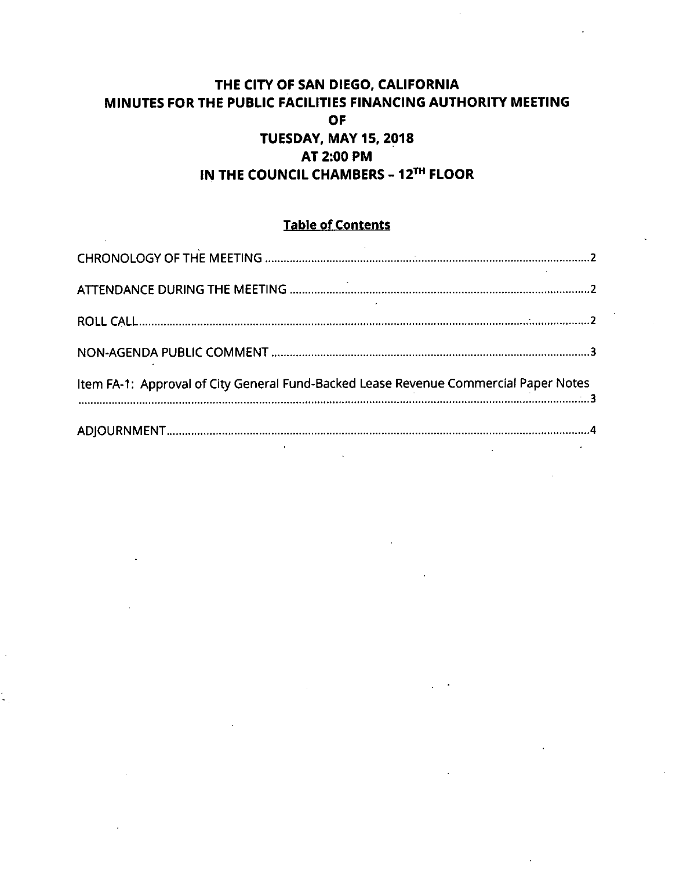# **THE CITY OF SAN DIEGO, CALIFORNIA MINUTES FOR THE PUBLIC FACILITIES FINANCING AUTHORITY MEETING OF TUESDAY, MAY 15, 2018 AT 2:00 PM IN THE COUNCIL CHAMBERS - 12^" FLOOR**

# **Table of Contents**

| Item FA-1: Approval of City General Fund-Backed Lease Revenue Commercial Paper Notes<br>3 |  |
|-------------------------------------------------------------------------------------------|--|
|                                                                                           |  |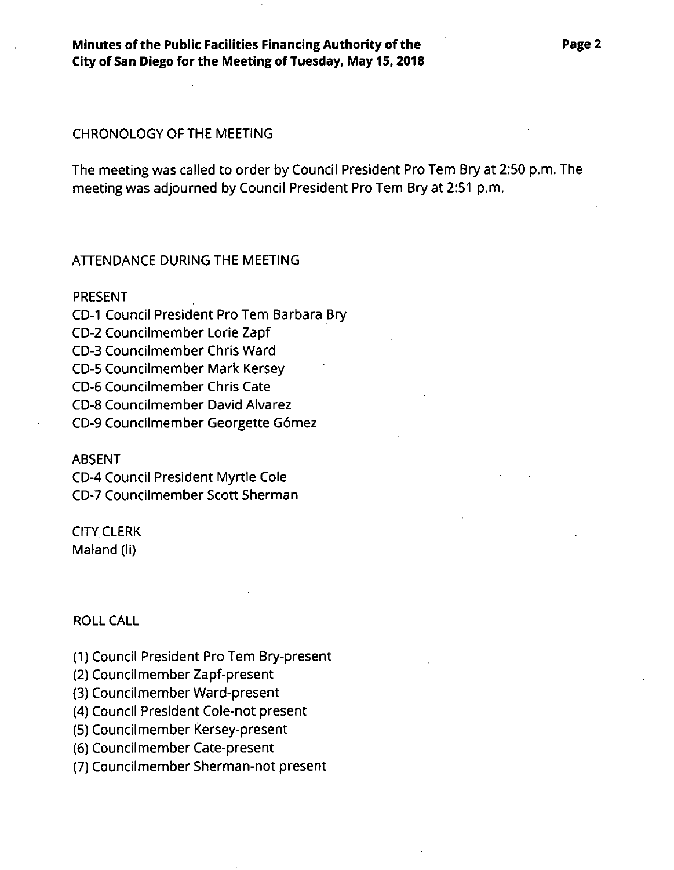**Minutes ofthe Public Facilities Financing Authority of the City of San Diego for the Meeting of Tuesday, May 15,2018**

### CHRONOLOGY OF THE MEETING

The meeting was called to order by Council President Pro Tem Bry at 2:50 p.m. The meeting was adjourned by Council President Pro Tern Bry at 2:51 p.m.

## ATTENDANCE DURING THE MEETING

PRESENT

CD-I Council President Pro Tern Barbara Bry CD-2 Councilmember Lorie Zapf CD-3 Councilmember Chris Ward CD-5 Councilmember Mark Kersey CD-6 Councilmember Chris Cate CD-8 Councilmember David Alvarez CD-9 Councilmember Georgette G6mez

#### ABSENT

CD-4 Council President Myrtle Cole CD-7 Councilmember Scott Sherman

CITY CLERK Maland (li)

## ROLL CALL

(1) Council President Pro Tern Bry-present

- (2) Councilmember Zapf-present
- (3) Councilmember Ward-present

(4) Council President Cole-not present

(5) Councilmember Kersey-present

(6) Councilmember Cate-present

(7) Councilmember Sherman-not present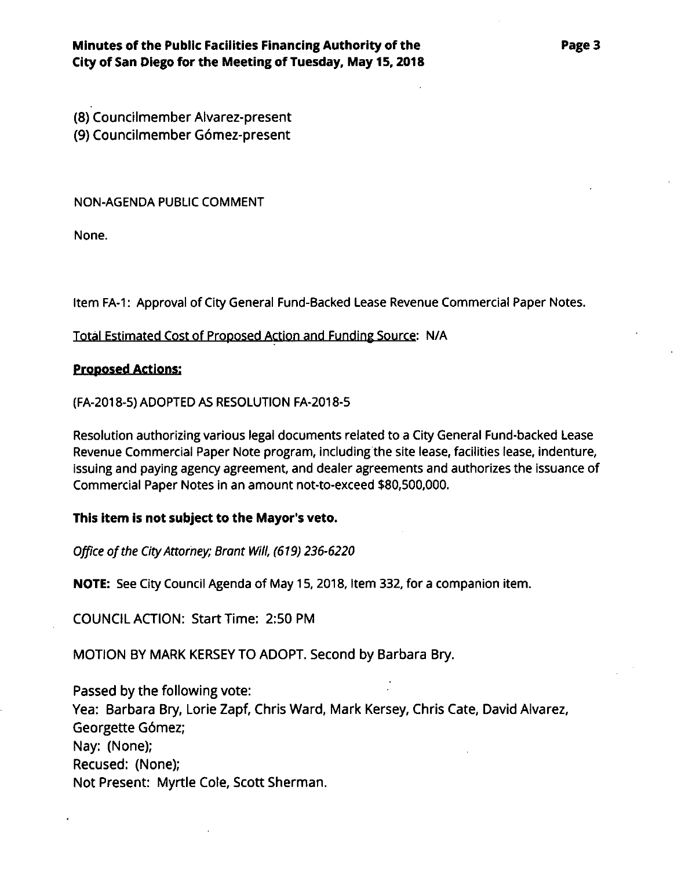(8) Councilmember Alvarez-present (9) Councilmember Gomez-present

NON-AGENDA PUBLIC COMMENT

None.

Item FA-1: Approval of City General Fund-Backed Lease Revenue Commercial Paper Notes.

Total Estimated Cost of Proposed Action and Funding Source: N/A

## **Proposed Actions:**

(FA-2018-5)ADOPTED AS RESOLUTION FA-2018-5

Resolution authorizing various legal documents related to a City General Fund-backed Lease Revenue Commercial Paper Note program, including the site lease, facilities lease, indenture, issuing and paying agency agreement, and dealer agreements and authorizes the issuance of Commercial Paper Notes in an amount not-to-exceed \$80,500,000.

# **This item is not subject to the Mayor's veto.**

*Office ofthe CityAttorney; Brant Will, (619) 236-6220*

NOTE: See City Council Agenda of May 15,2018, Item 332, for a companion item.

COUNCIL ACTION: Start Time: 2:50 PM

MOTION BY MARK KERSEY TO ADOPT. Second by Barbara Bry.

Passed by the following vote: Yea: Barbara Bry, Lorie Zapf, Chris Ward, Mark Kersey, Chris Cate, David Alvarez, Georgette Gdmez; Nay: (None); Recused: (None); Not Present: Myrtle Cole, Scott Sherman.